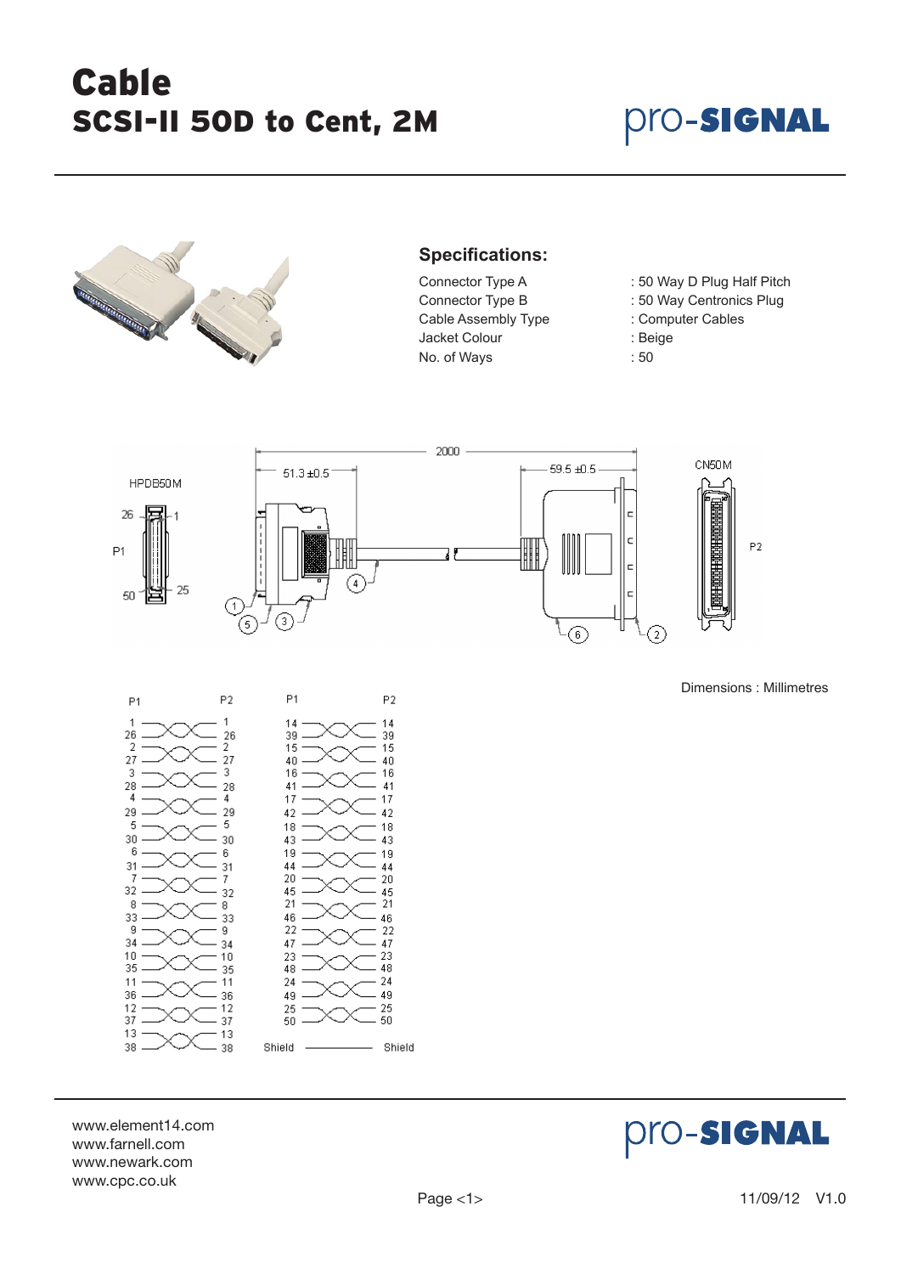# Cable SCSI-II 50D to Cent, 2M

### **Pro-Signal**



### **Specifications:**

- Cable Assembly Type : Computer Cables Jacket Colour : Beige No. of Ways : 50
- Connector Type A : 50 Way D Plug Half Pitch
- Connector Type B : 50 Way Centronics Plug
	-
	-
	-



Dimensions : Millimetres



www.element14.com www.farnell.com www.newark.com www.cpc.co.uk